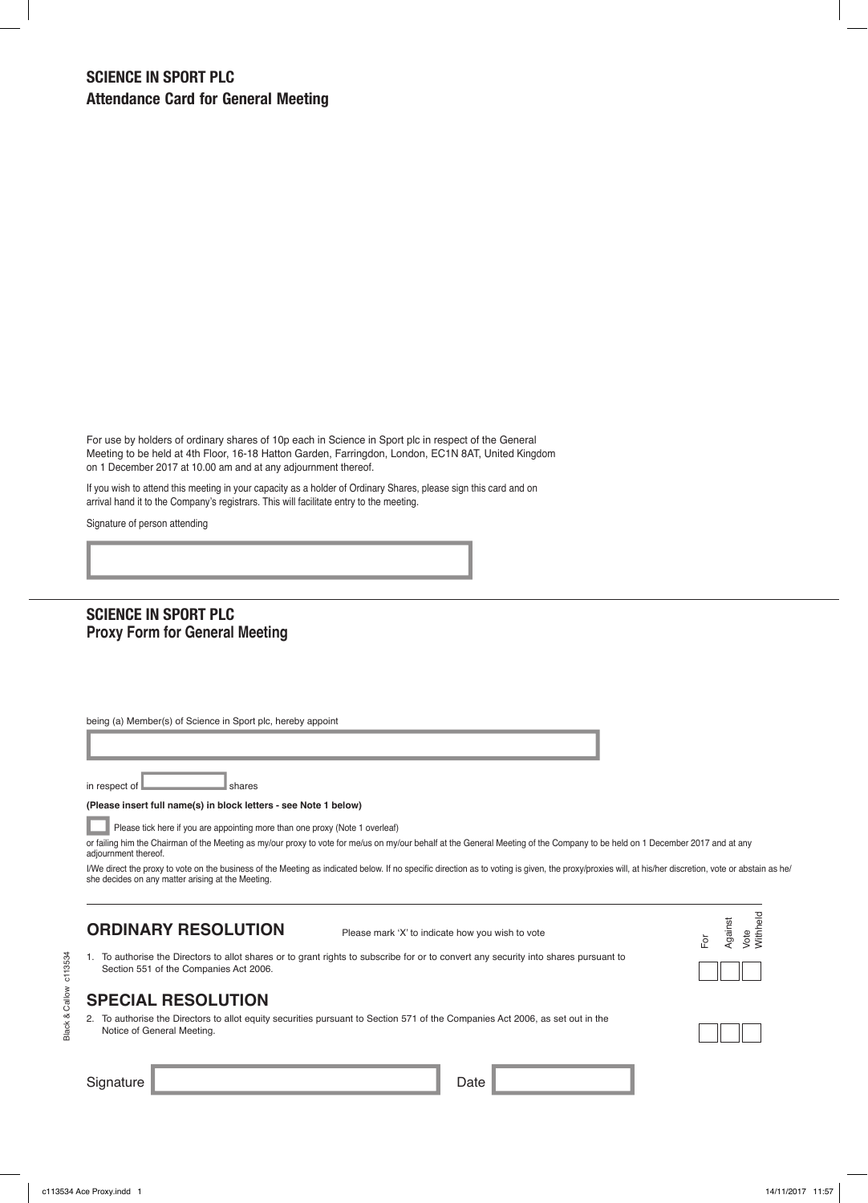## **SCIENCE IN SPORT PLC Attendance Card for General Meeting**

For use by holders of ordinary shares of 10p each in Science in Sport plc in respect of the General Meeting to be held at 4th Floor, 16-18 Hatton Garden, Farringdon, London, EC1N 8AT, United Kingdom on 1 December 2017 at 10.00 am and at any adjournment thereof.

If you wish to attend this meeting in your capacity as a holder of Ordinary Shares, please sign this card and on arrival hand it to the Company's registrars. This will facilitate entry to the meeting.

Signature of person attending

### **SCIENCE IN SPORT PLC Proxy Form for General Meeting**

being (a) Member(s) of Science in Sport plc, hereby appoint

in respect of shares shares

#### **(Please insert full name(s) in block letters - see Note 1 below)**

Please tick here if you are appointing more than one proxy (Note 1 overleaf)

or failing him the Chairman of the Meeting as my/our proxy to vote for me/us on my/our behalf at the General Meeting of the Company to be held on 1 December 2017 and at any adjournment thereof.

I/We direct the proxy to vote on the business of the Meeting as indicated below. If no specific direction as to voting is given, the proxy/proxies will, at his/her discretion, vote or abstain as he/ she decides on any matter arising at the Meeting.

### **ORDINARY RESOLUTION**

Section 551 of the Companies Act 2006.

Please mark 'X' to indicate how you wish to vote



**SPECIAL RESOLUTION**

2. To authorise the Directors to allot equity securities pursuant to Section 571 of the Companies Act 2006, as set out in the Notice of General Meeting.

1. To authorise the Directors to allot shares or to grant rights to subscribe for or to convert any security into shares pursuant to

Signature **Date** 

Black & Callow c113534

Black & Callow

c113534